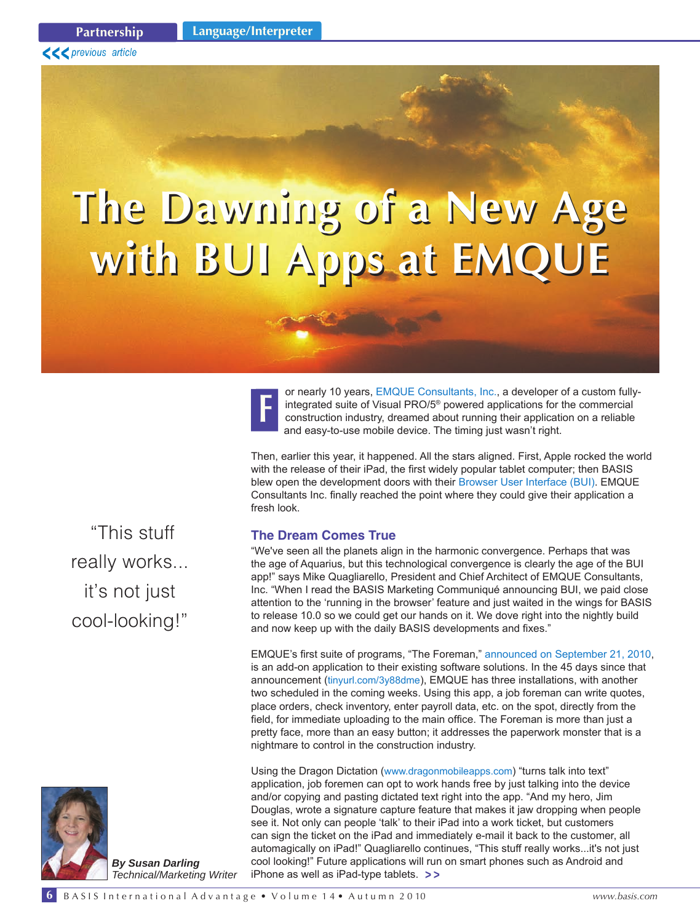# **The Dawning of a New Age with BUI Apps at EMQUE The Dawning of a New Age with BUI Apps at EMQUE**

or nearly 10 year[s, EMQUE Consultants, Inc.,](http://www.emque.com/) a developer of a custom fullyintegrated suite of Visual PRO/5® powered applications for the commercial construction industry, dreamed about running their application on a reliable and easy-to-use mobile device. The timing just wasn't right. **F**

Then, earlier this year, it happened. All the stars aligned. First, Apple rocked the world with the release of their iPad, the first widely popular tablet computer; then BASIS blew open the development doors with their [Browser User Interface \(BUI\)](http://links.basis.com/mc-bui). EMQUE Consultants Inc. finally reached the point where they could give their application a fresh look.

### **The Dream Comes True**

"We've seen all the planets align in the harmonic convergence. Perhaps that was the age of Aquarius, but this technological convergence is clearly the age of the BUI app!" says Mike Quagliarello, President and Chief Architect of EMQUE Consultants, Inc. "When I read the BASIS Marketing Communiqué announcing BUI, we paid close attention to the 'running in the browser' feature and just waited in the wings for BASIS to release 10.0 so we could get our hands on it. We dove right into the nightly build and now keep up with the daily BASIS developments and fixes."

EMQUE's first suite of programs, "The Foreman,[" announced on September 21, 2010](http://tinyurl.com/3y88dme), is an add-on application to their existing software solutions. In the 45 days since that announcement ([tinyurl.com/3y88dme](http://tinyurl.com/3y88dme)), EMQUE has three installations, with another two scheduled in the coming weeks. Using this app, a job foreman can write quotes, place orders, check inventory, enter payroll data, etc. on the spot, directly from the field, for immediate uploading to the main office. The Foreman is more than just a pretty face, more than an easy button; it addresses the paperwork monster that is a nightmare to control in the construction industry.

Using the Dragon Dictation ([www.dragonmobileapps.com](http://www.dragonmobileapps.com/)) "turns talk into text" application, job foremen can opt to work hands free by just talking into the device and/or copying and pasting dictated text right into the app. "And my hero, Jim Douglas, wrote a signature capture feature that makes it jaw dropping when people see it. Not only can people 'talk' to their iPad into a work ticket, but customers can sign the ticket on the iPad and immediately e-mail it back to the customer, all automagically on iPad!" Quagliarello continues, "This stuff really works...it's not just cool looking!" Future applications will run on smart phones such as Android and iPhone as well as iPad-type tablets. **> >**

 "This stuff really works... it's not just cool-looking!"



*By Susan Darling Technical/Marketing Writer*